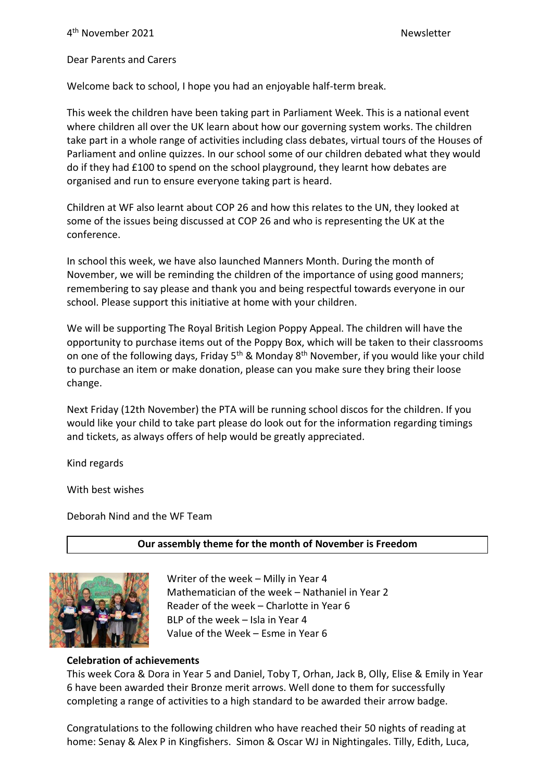Dear Parents and Carers

Welcome back to school, I hope you had an enjoyable half-term break.

This week the children have been taking part in Parliament Week. This is a national event where children all over the UK learn about how our governing system works. The children take part in a whole range of activities including class debates, virtual tours of the Houses of Parliament and online quizzes. In our school some of our children debated what they would do if they had £100 to spend on the school playground, they learnt how debates are organised and run to ensure everyone taking part is heard.

Children at WF also learnt about COP 26 and how this relates to the UN, they looked at some of the issues being discussed at COP 26 and who is representing the UK at the conference.

In school this week, we have also launched Manners Month. During the month of November, we will be reminding the children of the importance of using good manners; remembering to say please and thank you and being respectful towards everyone in our school. Please support this initiative at home with your children.

We will be supporting The Royal British Legion Poppy Appeal. The children will have the opportunity to purchase items out of the Poppy Box, which will be taken to their classrooms on one of the following days, Friday  $5<sup>th</sup>$  & Monday  $8<sup>th</sup>$  November, if you would like your child to purchase an item or make donation, please can you make sure they bring their loose change.

Next Friday (12th November) the PTA will be running school discos for the children. If you would like your child to take part please do look out for the information regarding timings and tickets, as always offers of help would be greatly appreciated.

Kind regards

With best wishes

Deborah Nind and the WF Team

#### **Our assembly theme for the month of November is Freedom**



Writer of the week – Milly in Year 4 Mathematician of the week – Nathaniel in Year 2 Reader of the week – Charlotte in Year 6 BLP of the week – Isla in Year 4 Value of the Week – Esme in Year 6

#### **Celebration of achievements**

This week Cora & Dora in Year 5 and Daniel, Toby T, Orhan, Jack B, Olly, Elise & Emily in Year 6 have been awarded their Bronze merit arrows. Well done to them for successfully completing a range of activities to a high standard to be awarded their arrow badge.

Congratulations to the following children who have reached their 50 nights of reading at home: Senay & Alex P in Kingfishers. Simon & Oscar WJ in Nightingales. Tilly, Edith, Luca,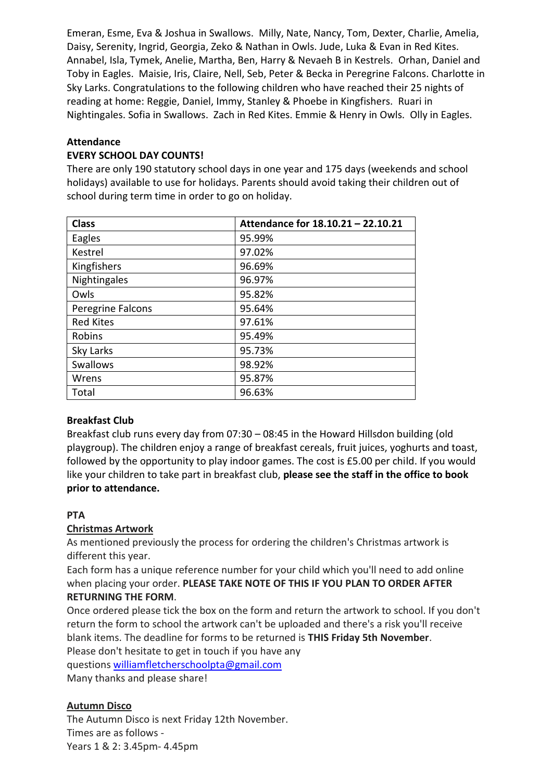Emeran, Esme, Eva & Joshua in Swallows. Milly, Nate, Nancy, Tom, Dexter, Charlie, Amelia, Daisy, Serenity, Ingrid, Georgia, Zeko & Nathan in Owls. Jude, Luka & Evan in Red Kites. Annabel, Isla, Tymek, Anelie, Martha, Ben, Harry & Nevaeh B in Kestrels. Orhan, Daniel and Toby in Eagles. Maisie, Iris, Claire, Nell, Seb, Peter & Becka in Peregrine Falcons. Charlotte in Sky Larks. Congratulations to the following children who have reached their 25 nights of reading at home: Reggie, Daniel, Immy, Stanley & Phoebe in Kingfishers. Ruari in Nightingales. Sofia in Swallows. Zach in Red Kites. Emmie & Henry in Owls. Olly in Eagles.

# **Attendance**

#### **EVERY SCHOOL DAY COUNTS!**

There are only 190 statutory school days in one year and 175 days (weekends and school holidays) available to use for holidays. Parents should avoid taking their children out of school during term time in order to go on holiday.

| <b>Class</b>      | Attendance for 18.10.21 - 22.10.21 |
|-------------------|------------------------------------|
| Eagles            | 95.99%                             |
| Kestrel           | 97.02%                             |
| Kingfishers       | 96.69%                             |
| Nightingales      | 96.97%                             |
| Owls              | 95.82%                             |
| Peregrine Falcons | 95.64%                             |
| <b>Red Kites</b>  | 97.61%                             |
| Robins            | 95.49%                             |
| Sky Larks         | 95.73%                             |
| <b>Swallows</b>   | 98.92%                             |
| Wrens             | 95.87%                             |
| Total             | 96.63%                             |

# **Breakfast Club**

Breakfast club runs every day from 07:30 – 08:45 in the Howard Hillsdon building (old playgroup). The children enjoy a range of breakfast cereals, fruit juices, yoghurts and toast, followed by the opportunity to play indoor games. The cost is £5.00 per child. If you would like your children to take part in breakfast club, **please see the staff in the office to book prior to attendance.**

# **PTA**

# **Christmas Artwork**

As mentioned previously the process for ordering the children's Christmas artwork is different this year.

Each form has a unique reference number for your child which you'll need to add online when placing your order. **PLEASE TAKE NOTE OF THIS IF YOU PLAN TO ORDER AFTER RETURNING THE FORM**.

Once ordered please tick the box on the form and return the artwork to school. If you don't return the form to school the artwork can't be uploaded and there's a risk you'll receive blank items. The deadline for forms to be returned is **THIS Friday 5th November**. Please don't hesitate to get in touch if you have any questions [williamfletcherschoolpta@gmail.com](mailto:williamfletcherschoolpta@gmail.com)

Many thanks and please share!

# **Autumn Disco**

The Autumn Disco is next Friday 12th November. Times are as follows - Years 1 & 2: 3.45pm- 4.45pm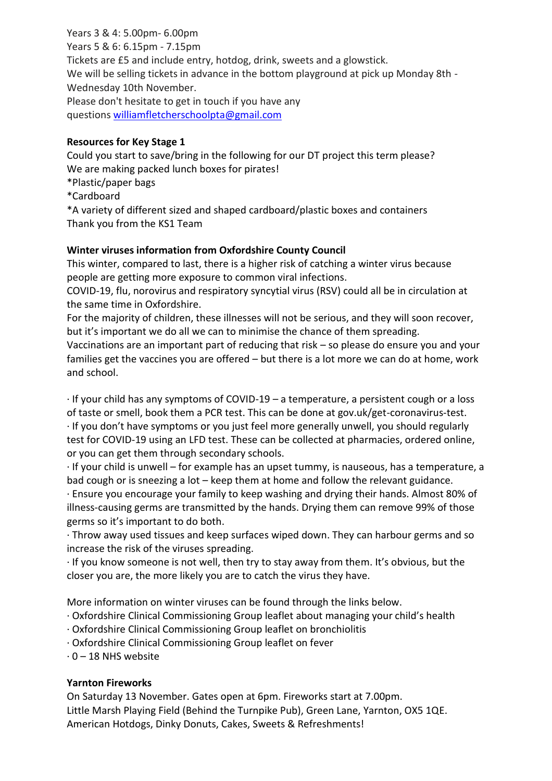Years 3 & 4: 5.00pm- 6.00pm Years 5 & 6: 6.15pm - 7.15pm Tickets are £5 and include entry, hotdog, drink, sweets and a glowstick. We will be selling tickets in advance in the bottom playground at pick up Monday 8th - Wednesday 10th November. Please don't hesitate to get in touch if you have any questions [williamfletcherschoolpta@gmail.com](mailto:williamfletcherschoolpta@gmail.com)

#### **Resources for Key Stage 1**

Could you start to save/bring in the following for our DT project this term please? We are making packed lunch boxes for pirates!

\*Plastic/paper bags

\*Cardboard

\*A variety of different sized and shaped cardboard/plastic boxes and containers Thank you from the KS1 Team

# **Winter viruses information from Oxfordshire County Council**

This winter, compared to last, there is a higher risk of catching a winter virus because people are getting more exposure to common viral infections.

COVID-19, flu, norovirus and respiratory syncytial virus (RSV) could all be in circulation at the same time in Oxfordshire.

For the majority of children, these illnesses will not be serious, and they will soon recover, but it's important we do all we can to minimise the chance of them spreading.

Vaccinations are an important part of reducing that risk – so please do ensure you and your families get the vaccines you are offered – but there is a lot more we can do at home, work and school.

· If your child has any symptoms of COVID-19 – a temperature, a persistent cough or a loss of taste or smell, book them a PCR test. This can be done at gov.uk/get-coronavirus-test.

· If you don't have symptoms or you just feel more generally unwell, you should regularly test for COVID-19 using an LFD test. These can be collected at pharmacies, ordered online, or you can get them through secondary schools.

· If your child is unwell – for example has an upset tummy, is nauseous, has a temperature, a bad cough or is sneezing a lot – keep them at home and follow the relevant guidance.

· Ensure you encourage your family to keep washing and drying their hands. Almost 80% of illness-causing germs are transmitted by the hands. Drying them can remove 99% of those germs so it's important to do both.

· Throw away used tissues and keep surfaces wiped down. They can harbour germs and so increase the risk of the viruses spreading.

· If you know someone is not well, then try to stay away from them. It's obvious, but the closer you are, the more likely you are to catch the virus they have.

More information on winter viruses can be found through the links below.

- · Oxfordshire Clinical Commissioning Group leaflet about managing your child's health
- · Oxfordshire Clinical Commissioning Group leaflet on bronchiolitis
- · Oxfordshire Clinical Commissioning Group leaflet on fever
- $\cdot$  0 18 NHS website

# **Yarnton Fireworks**

On Saturday 13 November. Gates open at 6pm. Fireworks start at 7.00pm. Little Marsh Playing Field (Behind the Turnpike Pub), Green Lane, Yarnton, OX5 1QE. American Hotdogs, Dinky Donuts, Cakes, Sweets & Refreshments!